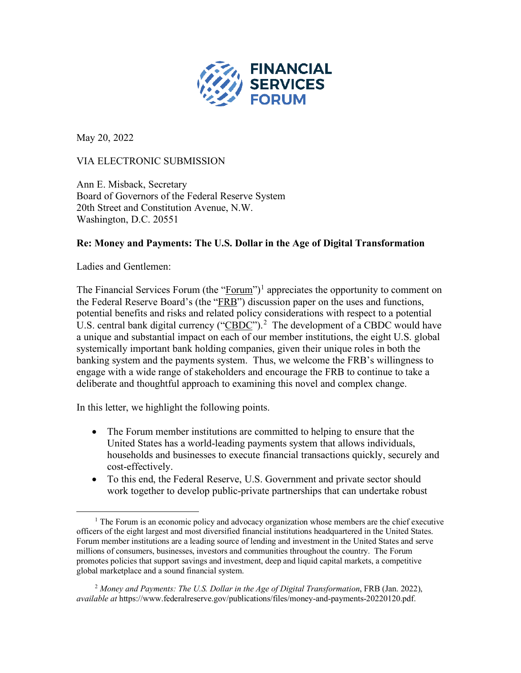

May 20, 2022

## VIA ELECTRONIC SUBMISSION

Ann E. Misback, Secretary Board of Governors of the Federal Reserve System 20th Street and Constitution Avenue, N.W. Washington, D.C. 20551

### **Re: Money and Payments: The U.S. Dollar in the Age of Digital Transformation**

Ladies and Gentlemen:

The Financial Services Forum (the "Forum")<sup>[1](#page-0-0)</sup> appreciates the opportunity to comment on the Federal Reserve Board's (the "FRB") discussion paper on the uses and functions, potential benefits and risks and related policy considerations with respect to a potential U.S. central bank digital currency (" $\text{CBDC}$ ").<sup>[2](#page-0-1)</sup> The development of a CBDC would have a unique and substantial impact on each of our member institutions, the eight U.S. global systemically important bank holding companies, given their unique roles in both the banking system and the payments system. Thus, we welcome the FRB's willingness to engage with a wide range of stakeholders and encourage the FRB to continue to take a deliberate and thoughtful approach to examining this novel and complex change.

In this letter, we highlight the following points.

- The Forum member institutions are committed to helping to ensure that the United States has a world-leading payments system that allows individuals, households and businesses to execute financial transactions quickly, securely and cost-effectively.
- To this end, the Federal Reserve, U.S. Government and private sector should work together to develop public-private partnerships that can undertake robust

<span id="page-0-1"></span><sup>2</sup> *Money and Payments: The U.S. Dollar in the Age of Digital Transformation*, FRB (Jan. 2022), *available at* https://www.federalreserve.gov/publications/files/money-and-payments-20220120.pdf.

<span id="page-0-0"></span> $<sup>1</sup>$  The Forum is an economic policy and advocacy organization whose members are the chief executive</sup> officers of the eight largest and most diversified financial institutions headquartered in the United States. Forum member institutions are a leading source of lending and investment in the United States and serve millions of consumers, businesses, investors and communities throughout the country. The Forum promotes policies that support savings and investment, deep and liquid capital markets, a competitive global marketplace and a sound financial system.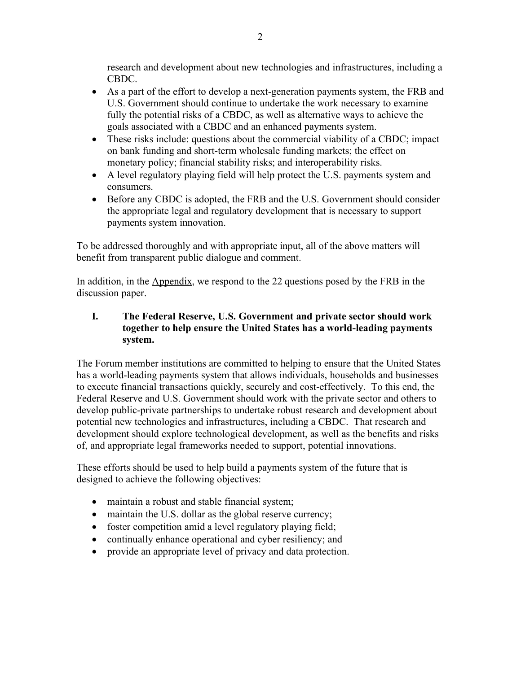research and development about new technologies and infrastructures, including a CBDC.

- As a part of the effort to develop a next-generation payments system, the FRB and U.S. Government should continue to undertake the work necessary to examine fully the potential risks of a CBDC, as well as alternative ways to achieve the goals associated with a CBDC and an enhanced payments system.
- These risks include: questions about the commercial viability of a CBDC; impact on bank funding and short-term wholesale funding markets; the effect on monetary policy; financial stability risks; and interoperability risks.
- A level regulatory playing field will help protect the U.S. payments system and consumers.
- Before any CBDC is adopted, the FRB and the U.S. Government should consider the appropriate legal and regulatory development that is necessary to support payments system innovation.

To be addressed thoroughly and with appropriate input, all of the above matters will benefit from transparent public dialogue and comment.

In addition, in the Appendix, we respond to the 22 questions posed by the FRB in the discussion paper.

### **I. The Federal Reserve, U.S. Government and private sector should work together to help ensure the United States has a world-leading payments system.**

The Forum member institutions are committed to helping to ensure that the United States has a world-leading payments system that allows individuals, households and businesses to execute financial transactions quickly, securely and cost-effectively. To this end, the Federal Reserve and U.S. Government should work with the private sector and others to develop public-private partnerships to undertake robust research and development about potential new technologies and infrastructures, including a CBDC. That research and development should explore technological development, as well as the benefits and risks of, and appropriate legal frameworks needed to support, potential innovations.

These efforts should be used to help build a payments system of the future that is designed to achieve the following objectives:

- maintain a robust and stable financial system;
- maintain the U.S. dollar as the global reserve currency;
- foster competition amid a level regulatory playing field;
- continually enhance operational and cyber resiliency; and
- provide an appropriate level of privacy and data protection.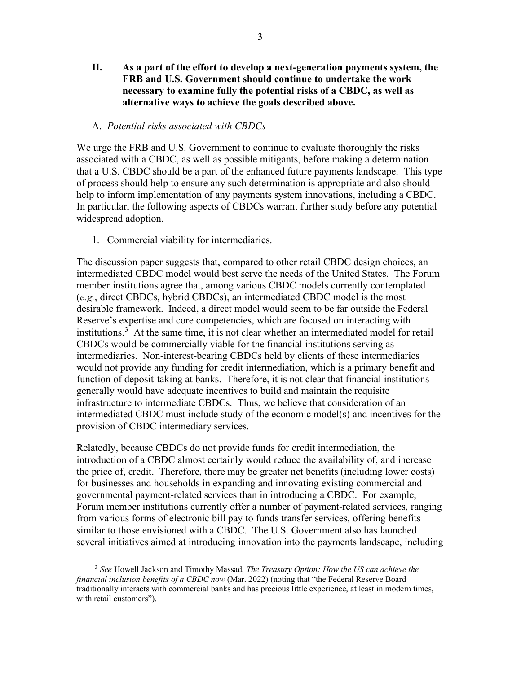#### A. *Potential risks associated with CBDCs*

We urge the FRB and U.S. Government to continue to evaluate thoroughly the risks associated with a CBDC, as well as possible mitigants, before making a determination that a U.S. CBDC should be a part of the enhanced future payments landscape. This type of process should help to ensure any such determination is appropriate and also should help to inform implementation of any payments system innovations, including a CBDC. In particular, the following aspects of CBDCs warrant further study before any potential widespread adoption.

1. Commercial viability for intermediaries.

The discussion paper suggests that, compared to other retail CBDC design choices, an intermediated CBDC model would best serve the needs of the United States. The Forum member institutions agree that, among various CBDC models currently contemplated (*e.g.*, direct CBDCs, hybrid CBDCs), an intermediated CBDC model is the most desirable framework. Indeed, a direct model would seem to be far outside the Federal Reserve's expertise and core competencies, which are focused on interacting with institutions.<sup>[3](#page-2-0)</sup> At the same time, it is not clear whether an intermediated model for retail CBDCs would be commercially viable for the financial institutions serving as intermediaries. Non-interest-bearing CBDCs held by clients of these intermediaries would not provide any funding for credit intermediation, which is a primary benefit and function of deposit-taking at banks. Therefore, it is not clear that financial institutions generally would have adequate incentives to build and maintain the requisite infrastructure to intermediate CBDCs. Thus, we believe that consideration of an intermediated CBDC must include study of the economic model(s) and incentives for the provision of CBDC intermediary services.

Relatedly, because CBDCs do not provide funds for credit intermediation, the introduction of a CBDC almost certainly would reduce the availability of, and increase the price of, credit. Therefore, there may be greater net benefits (including lower costs) for businesses and households in expanding and innovating existing commercial and governmental payment-related services than in introducing a CBDC. For example, Forum member institutions currently offer a number of payment-related services, ranging from various forms of electronic bill pay to funds transfer services, offering benefits similar to those envisioned with a CBDC. The U.S. Government also has launched several initiatives aimed at introducing innovation into the payments landscape, including

<span id="page-2-0"></span><sup>3</sup> *See* Howell Jackson and Timothy Massad, *The Treasury Option: How the US can achieve the financial inclusion benefits of a CBDC now* (Mar. 2022) (noting that "the Federal Reserve Board traditionally interacts with commercial banks and has precious little experience, at least in modern times, with retail customers").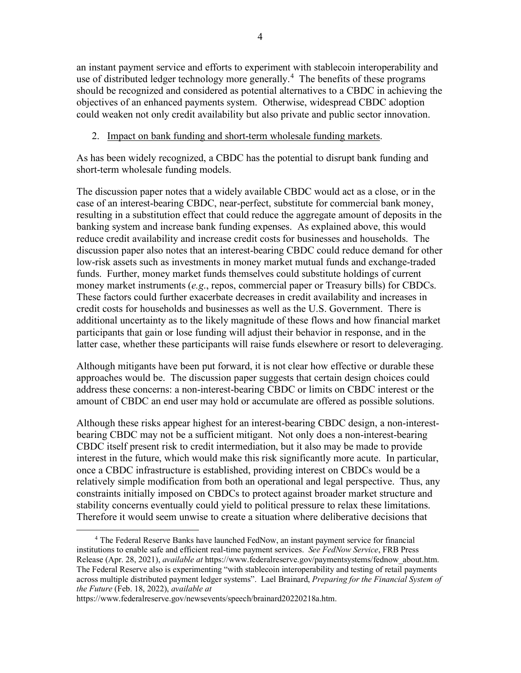an instant payment service and efforts to experiment with stablecoin interoperability and use of distributed ledger technology more generally.<sup>[4](#page-3-0)</sup> The benefits of these programs should be recognized and considered as potential alternatives to a CBDC in achieving the objectives of an enhanced payments system. Otherwise, widespread CBDC adoption could weaken not only credit availability but also private and public sector innovation.

### 2. Impact on bank funding and short-term wholesale funding markets.

As has been widely recognized, a CBDC has the potential to disrupt bank funding and short-term wholesale funding models.

The discussion paper notes that a widely available CBDC would act as a close, or in the case of an interest-bearing CBDC, near-perfect, substitute for commercial bank money, resulting in a substitution effect that could reduce the aggregate amount of deposits in the banking system and increase bank funding expenses. As explained above, this would reduce credit availability and increase credit costs for businesses and households. The discussion paper also notes that an interest-bearing CBDC could reduce demand for other low-risk assets such as investments in money market mutual funds and exchange-traded funds. Further, money market funds themselves could substitute holdings of current money market instruments (*e.g*., repos, commercial paper or Treasury bills) for CBDCs. These factors could further exacerbate decreases in credit availability and increases in credit costs for households and businesses as well as the U.S. Government. There is additional uncertainty as to the likely magnitude of these flows and how financial market participants that gain or lose funding will adjust their behavior in response, and in the latter case, whether these participants will raise funds elsewhere or resort to deleveraging.

Although mitigants have been put forward, it is not clear how effective or durable these approaches would be. The discussion paper suggests that certain design choices could address these concerns: a non-interest-bearing CBDC or limits on CBDC interest or the amount of CBDC an end user may hold or accumulate are offered as possible solutions.

Although these risks appear highest for an interest-bearing CBDC design, a non-interestbearing CBDC may not be a sufficient mitigant. Not only does a non-interest-bearing CBDC itself present risk to credit intermediation, but it also may be made to provide interest in the future, which would make this risk significantly more acute. In particular, once a CBDC infrastructure is established, providing interest on CBDCs would be a relatively simple modification from both an operational and legal perspective. Thus, any constraints initially imposed on CBDCs to protect against broader market structure and stability concerns eventually could yield to political pressure to relax these limitations. Therefore it would seem unwise to create a situation where deliberative decisions that

<span id="page-3-0"></span><sup>4</sup> The Federal Reserve Banks have launched FedNow, an instant payment service for financial institutions to enable safe and efficient real-time payment services. *See FedNow Service*, FRB Press Release (Apr. 28, 2021), *available at* https://www.federalreserve.gov/paymentsystems/fednow\_about.htm. The Federal Reserve also is experimenting "with stablecoin interoperability and testing of retail payments across multiple distributed payment ledger systems". Lael Brainard, *Preparing for the Financial System of the Future* (Feb. 18, 2022), *available at* 

https://www.federalreserve.gov/newsevents/speech/brainard20220218a.htm.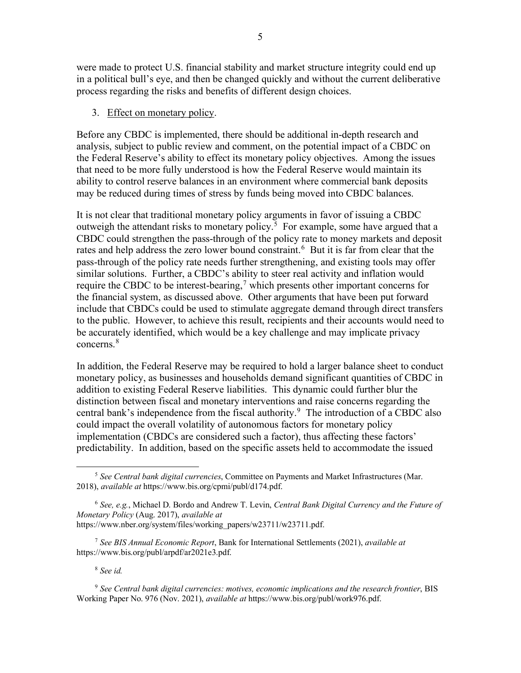were made to protect U.S. financial stability and market structure integrity could end up in a political bull's eye, and then be changed quickly and without the current deliberative process regarding the risks and benefits of different design choices.

#### 3. Effect on monetary policy.

Before any CBDC is implemented, there should be additional in-depth research and analysis, subject to public review and comment, on the potential impact of a CBDC on the Federal Reserve's ability to effect its monetary policy objectives. Among the issues that need to be more fully understood is how the Federal Reserve would maintain its ability to control reserve balances in an environment where commercial bank deposits may be reduced during times of stress by funds being moved into CBDC balances.

It is not clear that traditional monetary policy arguments in favor of issuing a CBDC outweigh the attendant risks to monetary policy.<sup>[5](#page-4-0)</sup> For example, some have argued that a CBDC could strengthen the pass-through of the policy rate to money markets and deposit rates and help address the zero lower bound constraint.<sup>[6](#page-4-1)</sup> But it is far from clear that the pass-through of the policy rate needs further strengthening, and existing tools may offer similar solutions. Further, a CBDC's ability to steer real activity and inflation would require the CBDC to be interest-bearing,<sup>[7](#page-4-2)</sup> which presents other important concerns for the financial system, as discussed above. Other arguments that have been put forward include that CBDCs could be used to stimulate aggregate demand through direct transfers to the public. However, to achieve this result, recipients and their accounts would need to be accurately identified, which would be a key challenge and may implicate privacy concerns. [8](#page-4-3)

In addition, the Federal Reserve may be required to hold a larger balance sheet to conduct monetary policy, as businesses and households demand significant quantities of CBDC in addition to existing Federal Reserve liabilities. This dynamic could further blur the distinction between fiscal and monetary interventions and raise concerns regarding the central bank's independence from the fiscal authority.<sup>[9](#page-4-4)</sup> The introduction of a CBDC also could impact the overall volatility of autonomous factors for monetary policy implementation (CBDCs are considered such a factor), thus affecting these factors' predictability. In addition, based on the specific assets held to accommodate the issued

<sup>8</sup> *See id.*

<span id="page-4-4"></span><span id="page-4-3"></span><sup>9</sup> *See Central bank digital currencies: motives, economic implications and the research frontier*, BIS Working Paper No. 976 (Nov. 2021), *available at* https://www.bis.org/publ/work976.pdf.

<span id="page-4-0"></span><sup>5</sup> *See Central bank digital currencies*, Committee on Payments and Market Infrastructures (Mar. 2018), *available at* https://www.bis.org/cpmi/publ/d174.pdf.

<span id="page-4-1"></span><sup>6</sup> *See, e.g.*, Michael D. Bordo and Andrew T. Levin, *Central Bank Digital Currency and the Future of Monetary Policy* (Aug. 2017), *available at*  https://www.nber.org/system/files/working\_papers/w23711/w23711.pdf.

<span id="page-4-2"></span><sup>7</sup> *See BIS Annual Economic Report*, Bank for International Settlements (2021), *available at* https://www.bis.org/publ/arpdf/ar2021e3.pdf.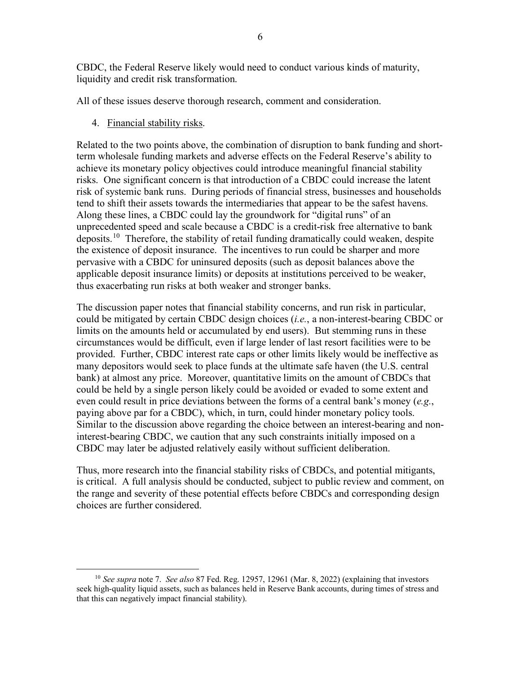CBDC, the Federal Reserve likely would need to conduct various kinds of maturity, liquidity and credit risk transformation.

All of these issues deserve thorough research, comment and consideration.

4. Financial stability risks.

Related to the two points above, the combination of disruption to bank funding and shortterm wholesale funding markets and adverse effects on the Federal Reserve's ability to achieve its monetary policy objectives could introduce meaningful financial stability risks. One significant concern is that introduction of a CBDC could increase the latent risk of systemic bank runs. During periods of financial stress, businesses and households tend to shift their assets towards the intermediaries that appear to be the safest havens. Along these lines, a CBDC could lay the groundwork for "digital runs" of an unprecedented speed and scale because a CBDC is a credit-risk free alternative to bank deposits.<sup>10</sup> Therefore, the stability of retail funding dramatically could weaken, despite the existence of deposit insurance. The incentives to run could be sharper and more pervasive with a CBDC for uninsured deposits (such as deposit balances above the applicable deposit insurance limits) or deposits at institutions perceived to be weaker, thus exacerbating run risks at both weaker and stronger banks.

The discussion paper notes that financial stability concerns, and run risk in particular, could be mitigated by certain CBDC design choices (*i.e.*, a non-interest-bearing CBDC or limits on the amounts held or accumulated by end users). But stemming runs in these circumstances would be difficult, even if large lender of last resort facilities were to be provided. Further, CBDC interest rate caps or other limits likely would be ineffective as many depositors would seek to place funds at the ultimate safe haven (the U.S. central bank) at almost any price. Moreover, quantitative limits on the amount of CBDCs that could be held by a single person likely could be avoided or evaded to some extent and even could result in price deviations between the forms of a central bank's money (*e.g.*, paying above par for a CBDC), which, in turn, could hinder monetary policy tools. Similar to the discussion above regarding the choice between an interest-bearing and noninterest-bearing CBDC, we caution that any such constraints initially imposed on a CBDC may later be adjusted relatively easily without sufficient deliberation.

Thus, more research into the financial stability risks of CBDCs, and potential mitigants, is critical. A full analysis should be conducted, subject to public review and comment, on the range and severity of these potential effects before CBDCs and corresponding design choices are further considered.

<span id="page-5-0"></span><sup>10</sup> *See supra* note 7. *See also* 87 Fed. Reg. 12957, 12961 (Mar. 8, 2022) (explaining that investors seek high-quality liquid assets, such as balances held in Reserve Bank accounts, during times of stress and that this can negatively impact financial stability).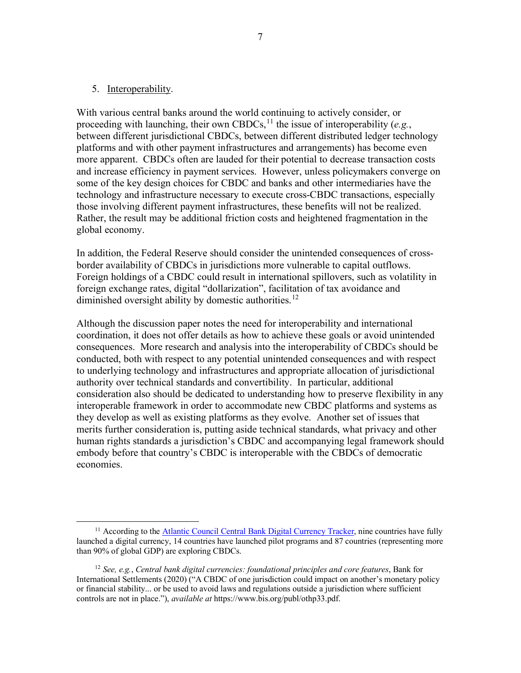#### 5. Interoperability.

With various central banks around the world continuing to actively consider, or proceeding with launching, their own CBDCs,<sup>[11](#page-6-0)</sup> the issue of interoperability (*e.g.*, between different jurisdictional CBDCs, between different distributed ledger technology platforms and with other payment infrastructures and arrangements) has become even more apparent. CBDCs often are lauded for their potential to decrease transaction costs and increase efficiency in payment services. However, unless policymakers converge on some of the key design choices for CBDC and banks and other intermediaries have the technology and infrastructure necessary to execute cross-CBDC transactions, especially those involving different payment infrastructures, these benefits will not be realized. Rather, the result may be additional friction costs and heightened fragmentation in the global economy.

In addition, the Federal Reserve should consider the unintended consequences of crossborder availability of CBDCs in jurisdictions more vulnerable to capital outflows. Foreign holdings of a CBDC could result in international spillovers, such as volatility in foreign exchange rates, digital "dollarization", facilitation of tax avoidance and diminished oversight ability by domestic authorities.<sup>[12](#page-6-1)</sup>

Although the discussion paper notes the need for interoperability and international coordination, it does not offer details as how to achieve these goals or avoid unintended consequences. More research and analysis into the interoperability of CBDCs should be conducted, both with respect to any potential unintended consequences and with respect to underlying technology and infrastructures and appropriate allocation of jurisdictional authority over technical standards and convertibility. In particular, additional consideration also should be dedicated to understanding how to preserve flexibility in any interoperable framework in order to accommodate new CBDC platforms and systems as they develop as well as existing platforms as they evolve. Another set of issues that merits further consideration is, putting aside technical standards, what privacy and other human rights standards a jurisdiction's CBDC and accompanying legal framework should embody before that country's CBDC is interoperable with the CBDCs of democratic economies.

<span id="page-6-0"></span><sup>&</sup>lt;sup>11</sup> According to th[e Atlantic Council Central Bank Digital Currency Tracker,](https://www.atlanticcouncil.org/cbdctracker/) nine countries have fully launched a digital currency, 14 countries have launched pilot programs and 87 countries (representing more than 90% of global GDP) are exploring CBDCs.

<span id="page-6-1"></span><sup>12</sup> *See, e.g.*, *Central bank digital currencies: foundational principles and core features*, Bank for International Settlements (2020) ("A CBDC of one jurisdiction could impact on another's monetary policy or financial stability... or be used to avoid laws and regulations outside a jurisdiction where sufficient controls are not in place."), *available at* https://www.bis.org/publ/othp33.pdf.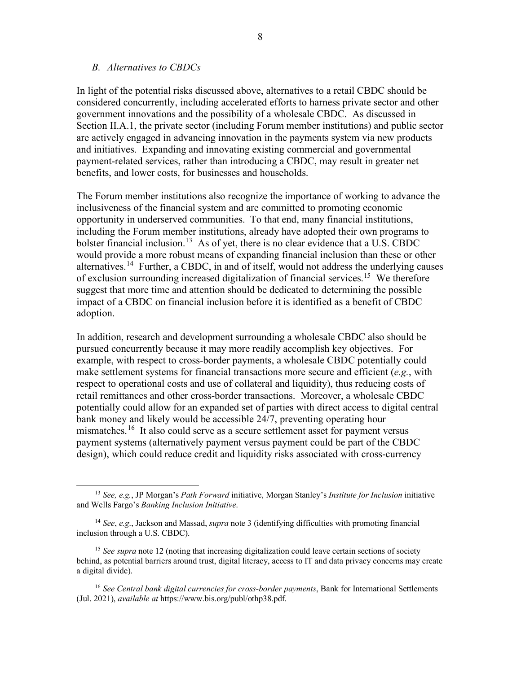#### *B. Alternatives to CBDCs*

In light of the potential risks discussed above, alternatives to a retail CBDC should be considered concurrently, including accelerated efforts to harness private sector and other government innovations and the possibility of a wholesale CBDC. As discussed in Section II.A.1, the private sector (including Forum member institutions) and public sector are actively engaged in advancing innovation in the payments system via new products and initiatives. Expanding and innovating existing commercial and governmental payment-related services, rather than introducing a CBDC, may result in greater net benefits, and lower costs, for businesses and households.

The Forum member institutions also recognize the importance of working to advance the inclusiveness of the financial system and are committed to promoting economic opportunity in underserved communities. To that end, many financial institutions, including the Forum member institutions, already have adopted their own programs to bolster financial inclusion.<sup>[13](#page-7-0)</sup> As of yet, there is no clear evidence that a U.S. CBDC would provide a more robust means of expanding financial inclusion than these or other alternatives.<sup>14</sup> Further, a CBDC, in and of itself, would not address the underlying causes of exclusion surrounding increased digitalization of financial services.<sup>15</sup> We therefore suggest that more time and attention should be dedicated to determining the possible impact of a CBDC on financial inclusion before it is identified as a benefit of CBDC adoption.

In addition, research and development surrounding a wholesale CBDC also should be pursued concurrently because it may more readily accomplish key objectives. For example, with respect to cross-border payments, a wholesale CBDC potentially could make settlement systems for financial transactions more secure and efficient (*e.g.*, with respect to operational costs and use of collateral and liquidity), thus reducing costs of retail remittances and other cross-border transactions. Moreover, a wholesale CBDC potentially could allow for an expanded set of parties with direct access to digital central bank money and likely would be accessible 24/7, preventing operating hour mismatches.<sup>[16](#page-7-3)</sup> It also could serve as a secure settlement asset for payment versus payment systems (alternatively payment versus payment could be part of the CBDC design), which could reduce credit and liquidity risks associated with cross-currency

<span id="page-7-0"></span><sup>13</sup> *See, e.g.*, JP Morgan's *Path Forward* initiative, Morgan Stanley's *Institute for Inclusion* initiative and Wells Fargo's *Banking Inclusion Initiative*.

<span id="page-7-1"></span><sup>14</sup> *See*, *e.g*., Jackson and Massad, *supra* note 3 (identifying difficulties with promoting financial inclusion through a U.S. CBDC).

<span id="page-7-2"></span><sup>&</sup>lt;sup>15</sup> *See supra* note 12 (noting that increasing digitalization could leave certain sections of society behind, as potential barriers around trust, digital literacy, access to IT and data privacy concerns may create a digital divide).

<span id="page-7-3"></span><sup>16</sup> *See Central bank digital currencies for cross-border payments*, Bank for International Settlements (Jul. 2021), *available at* https://www.bis.org/publ/othp38.pdf.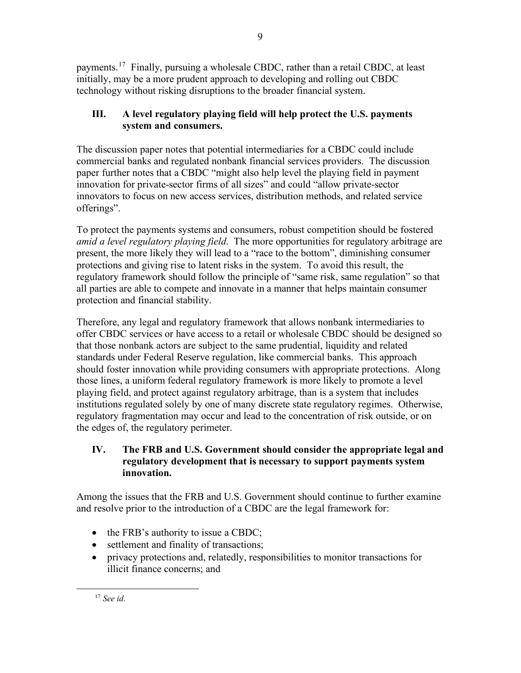payments.<sup>[17](#page-8-0)</sup> Finally, pursuing a wholesale CBDC, rather than a retail CBDC, at least initially, may be a more prudent approach to developing and rolling out CBDC technology without risking disruptions to the broader financial system.

# **III. A level regulatory playing field will help protect the U.S. payments system and consumers.**

The discussion paper notes that potential intermediaries for a CBDC could include commercial banks and regulated nonbank financial services providers. The discussion paper further notes that a CBDC "might also help level the playing field in payment innovation for private-sector firms of all sizes" and could "allow private-sector innovators to focus on new access services, distribution methods, and related service offerings".

To protect the payments systems and consumers, robust competition should be fostered *amid a level regulatory playing field*. The more opportunities for regulatory arbitrage are present, the more likely they will lead to a "race to the bottom", diminishing consumer protections and giving rise to latent risks in the system. To avoid this result, the regulatory framework should follow the principle of "same risk, same regulation" so that all parties are able to compete and innovate in a manner that helps maintain consumer protection and financial stability.

Therefore, any legal and regulatory framework that allows nonbank intermediaries to offer CBDC services or have access to a retail or wholesale CBDC should be designed so that those nonbank actors are subject to the same prudential, liquidity and related standards under Federal Reserve regulation, like commercial banks. This approach should foster innovation while providing consumers with appropriate protections. Along those lines, a uniform federal regulatory framework is more likely to promote a level playing field, and protect against regulatory arbitrage, than is a system that includes institutions regulated solely by one of many discrete state regulatory regimes. Otherwise, regulatory fragmentation may occur and lead to the concentration of risk outside, or on the edges of, the regulatory perimeter.

## **IV. The FRB and U.S. Government should consider the appropriate legal and regulatory development that is necessary to support payments system innovation.**

Among the issues that the FRB and U.S. Government should continue to further examine and resolve prior to the introduction of a CBDC are the legal framework for:

- the FRB's authority to issue a CBDC;
- settlement and finality of transactions;
- privacy protections and, relatedly, responsibilities to monitor transactions for illicit finance concerns; and

<span id="page-8-0"></span><sup>17</sup> *See id*.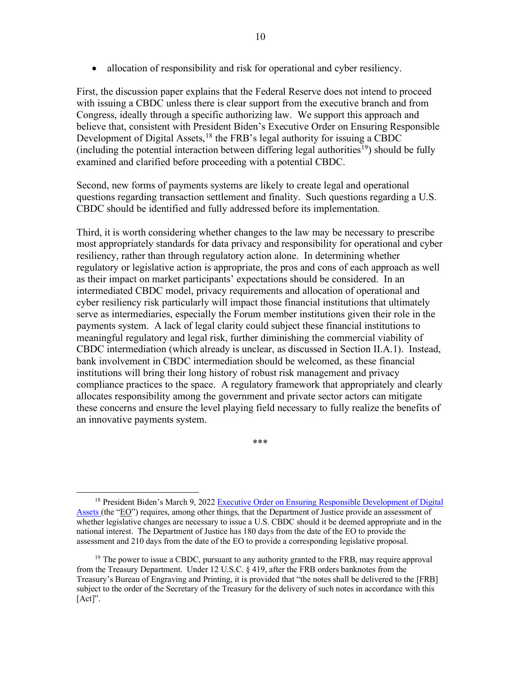• allocation of responsibility and risk for operational and cyber resiliency.

First, the discussion paper explains that the Federal Reserve does not intend to proceed with issuing a CBDC unless there is clear support from the executive branch and from Congress, ideally through a specific authorizing law. We support this approach and believe that, consistent with President Biden's Executive Order on Ensuring Responsible Development of Digital Assets,<sup>[18](#page-9-0)</sup> the FRB's legal authority for issuing a CBDC (including the potential interaction between differing legal authorities<sup>19</sup>) should be fully examined and clarified before proceeding with a potential CBDC.

Second, new forms of payments systems are likely to create legal and operational questions regarding transaction settlement and finality. Such questions regarding a U.S. CBDC should be identified and fully addressed before its implementation.

Third, it is worth considering whether changes to the law may be necessary to prescribe most appropriately standards for data privacy and responsibility for operational and cyber resiliency, rather than through regulatory action alone. In determining whether regulatory or legislative action is appropriate, the pros and cons of each approach as well as their impact on market participants' expectations should be considered. In an intermediated CBDC model, privacy requirements and allocation of operational and cyber resiliency risk particularly will impact those financial institutions that ultimately serve as intermediaries, especially the Forum member institutions given their role in the payments system. A lack of legal clarity could subject these financial institutions to meaningful regulatory and legal risk, further diminishing the commercial viability of CBDC intermediation (which already is unclear, as discussed in Section II.A.1). Instead, bank involvement in CBDC intermediation should be welcomed, as these financial institutions will bring their long history of robust risk management and privacy compliance practices to the space. A regulatory framework that appropriately and clearly allocates responsibility among the government and private sector actors can mitigate these concerns and ensure the level playing field necessary to fully realize the benefits of an innovative payments system.

\*\*\*

<span id="page-9-0"></span><sup>&</sup>lt;sup>18</sup> President Biden's March 9, 2022 Executive Order on Ensuring Responsible Development of Digital [Assets \(](https://www.whitehouse.gov/briefing-room/presidential-actions/2022/03/09/executive-order-on-ensuring-responsible-development-of-digital-assets/)the "EO") requires, among other things, that the Department of Justice provide an assessment of whether legislative changes are necessary to issue a U.S. CBDC should it be deemed appropriate and in the national interest. The Department of Justice has 180 days from the date of the EO to provide the assessment and 210 days from the date of the EO to provide a corresponding legislative proposal.

<span id="page-9-1"></span> $<sup>19</sup>$  The power to issue a CBDC, pursuant to any authority granted to the FRB, may require approval</sup> from the Treasury Department. Under 12 U.S.C. § 419, after the FRB orders banknotes from the Treasury's Bureau of Engraving and Printing, it is provided that "the notes shall be delivered to the [FRB] subject to the order of the Secretary of the Treasury for the delivery of such notes in accordance with this [Act]".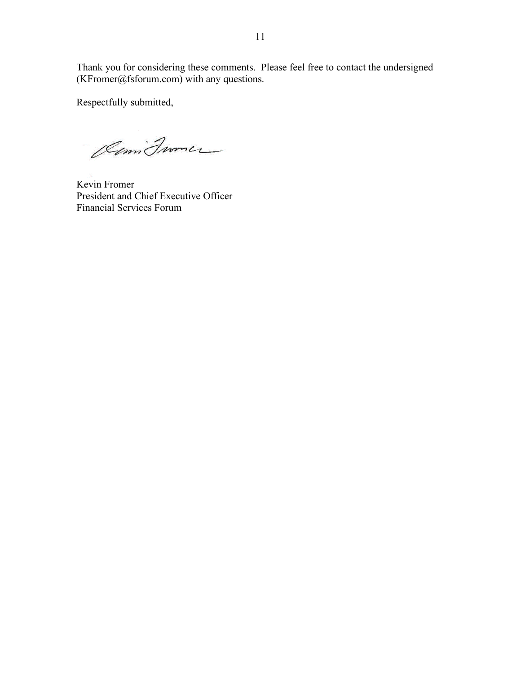Thank you for considering these comments. Please feel free to contact the undersigned (KFromer@fsforum.com) with any questions.

Respectfully submitted,

Olimi France

Kevin Fromer President and Chief Executive Officer Financial Services Forum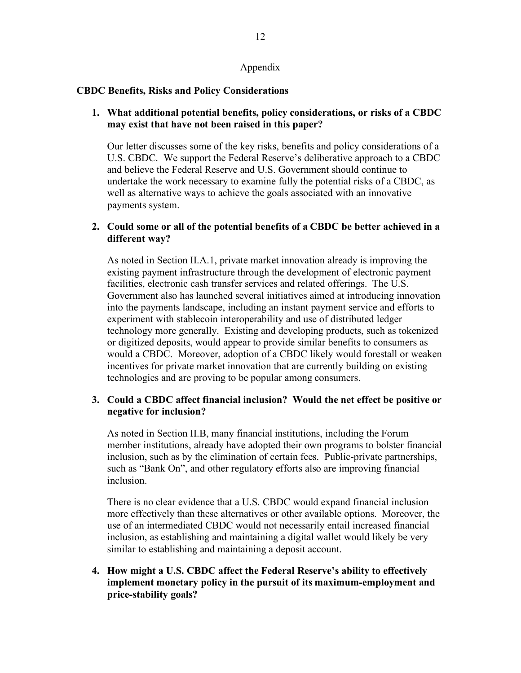#### Appendix

#### **CBDC Benefits, Risks and Policy Considerations**

### **1. What additional potential benefits, policy considerations, or risks of a CBDC may exist that have not been raised in this paper?**

Our letter discusses some of the key risks, benefits and policy considerations of a U.S. CBDC. We support the Federal Reserve's deliberative approach to a CBDC and believe the Federal Reserve and U.S. Government should continue to undertake the work necessary to examine fully the potential risks of a CBDC, as well as alternative ways to achieve the goals associated with an innovative payments system.

### **2. Could some or all of the potential benefits of a CBDC be better achieved in a different way?**

As noted in Section II.A.1, private market innovation already is improving the existing payment infrastructure through the development of electronic payment facilities, electronic cash transfer services and related offerings. The U.S. Government also has launched several initiatives aimed at introducing innovation into the payments landscape, including an instant payment service and efforts to experiment with stablecoin interoperability and use of distributed ledger technology more generally. Existing and developing products, such as tokenized or digitized deposits, would appear to provide similar benefits to consumers as would a CBDC. Moreover, adoption of a CBDC likely would forestall or weaken incentives for private market innovation that are currently building on existing technologies and are proving to be popular among consumers.

### **3. Could a CBDC affect financial inclusion? Would the net effect be positive or negative for inclusion?**

As noted in Section II.B, many financial institutions, including the Forum member institutions, already have adopted their own programs to bolster financial inclusion, such as by the elimination of certain fees. Public-private partnerships, such as "Bank On", and other regulatory efforts also are improving financial inclusion.

There is no clear evidence that a U.S. CBDC would expand financial inclusion more effectively than these alternatives or other available options. Moreover, the use of an intermediated CBDC would not necessarily entail increased financial inclusion, as establishing and maintaining a digital wallet would likely be very similar to establishing and maintaining a deposit account.

### **4. How might a U.S. CBDC affect the Federal Reserve's ability to effectively implement monetary policy in the pursuit of its maximum-employment and price-stability goals?**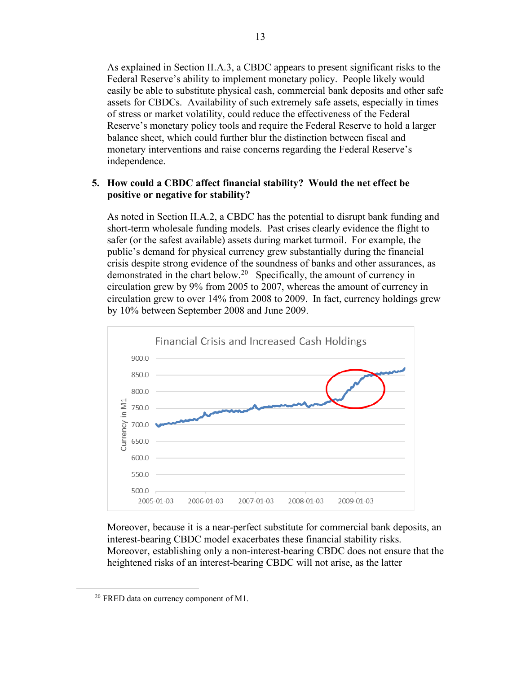As explained in Section II.A.3, a CBDC appears to present significant risks to the Federal Reserve's ability to implement monetary policy. People likely would easily be able to substitute physical cash, commercial bank deposits and other safe assets for CBDCs. Availability of such extremely safe assets, especially in times of stress or market volatility, could reduce the effectiveness of the Federal Reserve's monetary policy tools and require the Federal Reserve to hold a larger balance sheet, which could further blur the distinction between fiscal and monetary interventions and raise concerns regarding the Federal Reserve's independence.

#### **5. How could a CBDC affect financial stability? Would the net effect be positive or negative for stability?**

As noted in Section II.A.2, a CBDC has the potential to disrupt bank funding and short-term wholesale funding models. Past crises clearly evidence the flight to safer (or the safest available) assets during market turmoil. For example, the public's demand for physical currency grew substantially during the financial crisis despite strong evidence of the soundness of banks and other assurances, as demonstrated in the chart below.<sup>20</sup> Specifically, the amount of currency in circulation grew by 9% from 2005 to 2007, whereas the amount of currency in circulation grew to over 14% from 2008 to 2009. In fact, currency holdings grew by 10% between September 2008 and June 2009.



Moreover, because it is a near-perfect substitute for commercial bank deposits, an interest-bearing CBDC model exacerbates these financial stability risks. Moreover, establishing only a non-interest-bearing CBDC does not ensure that the heightened risks of an interest-bearing CBDC will not arise, as the latter

<span id="page-12-0"></span><sup>20</sup> FRED data on currency component of M1.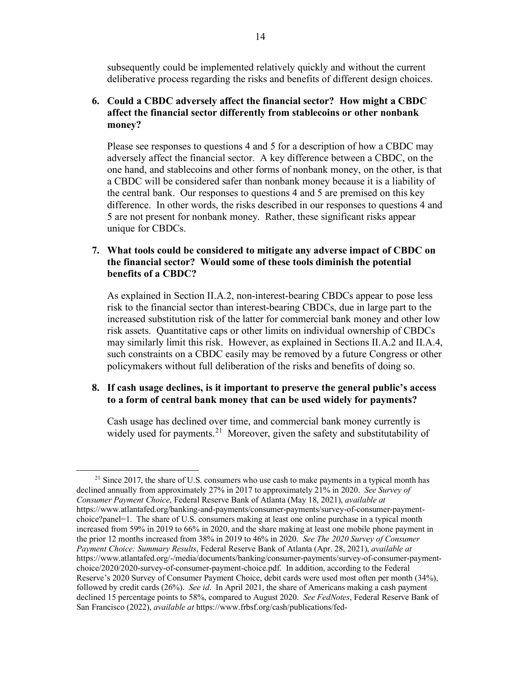subsequently could be implemented relatively quickly and without the current deliberative process regarding the risks and benefits of different design choices.

### **6. Could a CBDC adversely affect the financial sector? How might a CBDC affect the financial sector differently from stablecoins or other nonbank money?**

Please see responses to questions 4 and 5 for a description of how a CBDC may adversely affect the financial sector. A key difference between a CBDC, on the one hand, and stablecoins and other forms of nonbank money, on the other, is that a CBDC will be considered safer than nonbank money because it is a liability of the central bank. Our responses to questions 4 and 5 are premised on this key difference. In other words, the risks described in our responses to questions 4 and 5 are not present for nonbank money. Rather, these significant risks appear unique for CBDCs.

#### **7. What tools could be considered to mitigate any adverse impact of CBDC on the financial sector? Would some of these tools diminish the potential benefits of a CBDC?**

As explained in Section II.A.2, non-interest-bearing CBDCs appear to pose less risk to the financial sector than interest-bearing CBDCs, due in large part to the increased substitution risk of the latter for commercial bank money and other low risk assets. Quantitative caps or other limits on individual ownership of CBDCs may similarly limit this risk. However, as explained in Sections II.A.2 and II.A.4, such constraints on a CBDC easily may be removed by a future Congress or other policymakers without full deliberation of the risks and benefits of doing so.

#### **8. If cash usage declines, is it important to preserve the general public's access to a form of central bank money that can be used widely for payments?**

Cash usage has declined over time, and commercial bank money currently is widely used for payments.<sup>[21](#page-13-0)</sup> Moreover, given the safety and substitutability of

<span id="page-13-0"></span> $21$  Since 2017, the share of U.S. consumers who use cash to make payments in a typical month has declined annually from approximately 27% in 2017 to approximately 21% in 2020. *See Survey of Consumer Payment Choice*, Federal Reserve Bank of Atlanta (May 18, 2021), *available at* https://www.atlantafed.org/banking-and-payments/consumer-payments/survey-of-consumer-paymentchoice?panel=1. The share of U.S. consumers making at least one online purchase in a typical month increased from 59% in 2019 to 66% in 2020, and the share making at least one mobile phone payment in the prior 12 months increased from 38% in 2019 to 46% in 2020. *See The 2020 Survey of Consumer Payment Choice: Summary Results*, Federal Reserve Bank of Atlanta (Apr. 28, 2021), *available at* https://www.atlantafed.org/-/media/documents/banking/consumer-payments/survey-of-consumer-paymentchoice/2020/2020-survey-of-consumer-payment-choice.pdf. In addition, according to the Federal Reserve's 2020 Survey of Consumer Payment Choice, debit cards were used most often per month (34%), followed by credit cards (26%). *See id*. In April 2021, the share of Americans making a cash payment declined 15 percentage points to 58%, compared to August 2020. *See FedNotes*, Federal Reserve Bank of San Francisco (2022), *available at* https://www.frbsf.org/cash/publications/fed-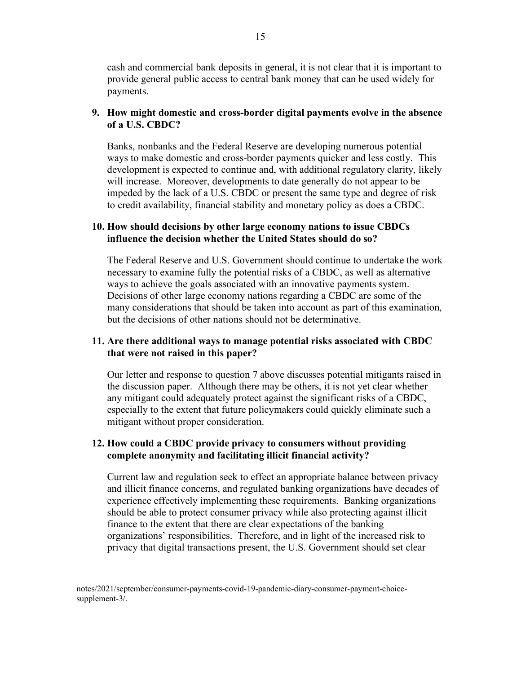cash and commercial bank deposits in general, it is not clear that it is important to provide general public access to central bank money that can be used widely for payments.

### **9. How might domestic and cross-border digital payments evolve in the absence of a U.S. CBDC?**

Banks, nonbanks and the Federal Reserve are developing numerous potential ways to make domestic and cross-border payments quicker and less costly. This development is expected to continue and, with additional regulatory clarity, likely will increase. Moreover, developments to date generally do not appear to be impeded by the lack of a U.S. CBDC or present the same type and degree of risk to credit availability, financial stability and monetary policy as does a CBDC.

#### **10. How should decisions by other large economy nations to issue CBDCs influence the decision whether the United States should do so?**

The Federal Reserve and U.S. Government should continue to undertake the work necessary to examine fully the potential risks of a CBDC, as well as alternative ways to achieve the goals associated with an innovative payments system. Decisions of other large economy nations regarding a CBDC are some of the many considerations that should be taken into account as part of this examination, but the decisions of other nations should not be determinative.

#### **11. Are there additional ways to manage potential risks associated with CBDC that were not raised in this paper?**

Our letter and response to question 7 above discusses potential mitigants raised in the discussion paper. Although there may be others, it is not yet clear whether any mitigant could adequately protect against the significant risks of a CBDC, especially to the extent that future policymakers could quickly eliminate such a mitigant without proper consideration.

### **12. How could a CBDC provide privacy to consumers without providing complete anonymity and facilitating illicit financial activity?**

Current law and regulation seek to effect an appropriate balance between privacy and illicit finance concerns, and regulated banking organizations have decades of experience effectively implementing these requirements. Banking organizations should be able to protect consumer privacy while also protecting against illicit finance to the extent that there are clear expectations of the banking organizations' responsibilities. Therefore, and in light of the increased risk to privacy that digital transactions present, the U.S. Government should set clear

notes/2021/september/consumer-payments-covid-19-pandemic-diary-consumer-payment-choicesupplement-3/.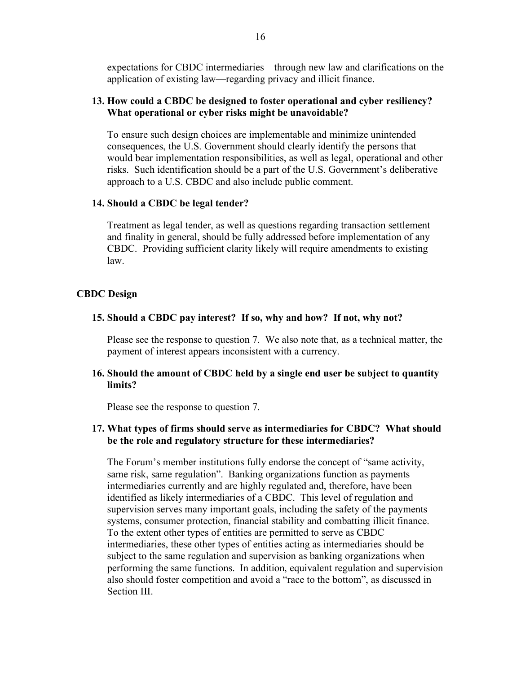expectations for CBDC intermediaries—through new law and clarifications on the application of existing law—regarding privacy and illicit finance.

#### **13. How could a CBDC be designed to foster operational and cyber resiliency? What operational or cyber risks might be unavoidable?**

To ensure such design choices are implementable and minimize unintended consequences, the U.S. Government should clearly identify the persons that would bear implementation responsibilities, as well as legal, operational and other risks. Such identification should be a part of the U.S. Government's deliberative approach to a U.S. CBDC and also include public comment.

#### **14. Should a CBDC be legal tender?**

Treatment as legal tender, as well as questions regarding transaction settlement and finality in general, should be fully addressed before implementation of any CBDC. Providing sufficient clarity likely will require amendments to existing law.

#### **CBDC Design**

#### **15. Should a CBDC pay interest? If so, why and how? If not, why not?**

Please see the response to question 7. We also note that, as a technical matter, the payment of interest appears inconsistent with a currency.

#### **16. Should the amount of CBDC held by a single end user be subject to quantity limits?**

Please see the response to question 7.

#### **17. What types of firms should serve as intermediaries for CBDC? What should be the role and regulatory structure for these intermediaries?**

The Forum's member institutions fully endorse the concept of "same activity, same risk, same regulation". Banking organizations function as payments intermediaries currently and are highly regulated and, therefore, have been identified as likely intermediaries of a CBDC. This level of regulation and supervision serves many important goals, including the safety of the payments systems, consumer protection, financial stability and combatting illicit finance. To the extent other types of entities are permitted to serve as CBDC intermediaries, these other types of entities acting as intermediaries should be subject to the same regulation and supervision as banking organizations when performing the same functions. In addition, equivalent regulation and supervision also should foster competition and avoid a "race to the bottom", as discussed in Section III.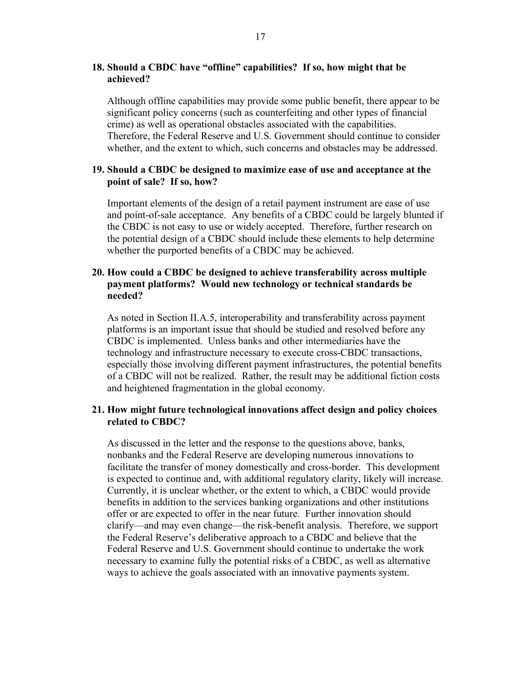#### **18. Should a CBDC have "offline" capabilities? If so, how might that be achieved?**

Although offline capabilities may provide some public benefit, there appear to be significant policy concerns (such as counterfeiting and other types of financial crime) as well as operational obstacles associated with the capabilities. Therefore, the Federal Reserve and U.S. Government should continue to consider whether, and the extent to which, such concerns and obstacles may be addressed.

#### **19. Should a CBDC be designed to maximize ease of use and acceptance at the point of sale? If so, how?**

Important elements of the design of a retail payment instrument are ease of use and point-of-sale acceptance. Any benefits of a CBDC could be largely blunted if the CBDC is not easy to use or widely accepted. Therefore, further research on the potential design of a CBDC should include these elements to help determine whether the purported benefits of a CBDC may be achieved.

#### **20. How could a CBDC be designed to achieve transferability across multiple payment platforms? Would new technology or technical standards be needed?**

As noted in Section II.A.5, interoperability and transferability across payment platforms is an important issue that should be studied and resolved before any CBDC is implemented. Unless banks and other intermediaries have the technology and infrastructure necessary to execute cross-CBDC transactions, especially those involving different payment infrastructures, the potential benefits of a CBDC will not be realized. Rather, the result may be additional fiction costs and heightened fragmentation in the global economy.

#### **21. How might future technological innovations affect design and policy choices related to CBDC?**

As discussed in the letter and the response to the questions above, banks, nonbanks and the Federal Reserve are developing numerous innovations to facilitate the transfer of money domestically and cross-border. This development is expected to continue and, with additional regulatory clarity, likely will increase. Currently, it is unclear whether, or the extent to which, a CBDC would provide benefits in addition to the services banking organizations and other institutions offer or are expected to offer in the near future. Further innovation should clarify—and may even change—the risk-benefit analysis. Therefore, we support the Federal Reserve's deliberative approach to a CBDC and believe that the Federal Reserve and U.S. Government should continue to undertake the work necessary to examine fully the potential risks of a CBDC, as well as alternative ways to achieve the goals associated with an innovative payments system.